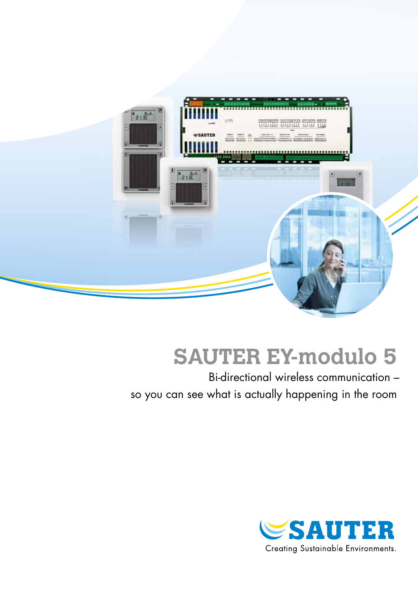

# **SAUTER EY-modulo 5**

Bi-directional wireless communication – so you can see what is actually happening in the room

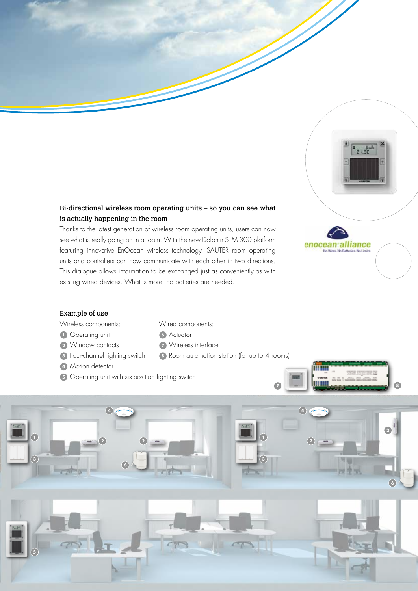#### Bi-directional wireless room operating units – so you can see what is actually happening in the room

Thanks to the latest generation of wireless room operating units, users can now see what is really going on in a room. With the new Dolphin STM 300 platform featuring innovative EnOcean wireless technology, SAUTER room operating units and controllers can now communicate with each other in two directions. This dialogue allows information to be exchanged just as conveniently as with existing wired devices. What is more, no batteries are needed.

Wired components:

**<sup>7</sup>** Wireless interface

**<sup>8</sup>** Room automation station (for up to 4 rooms)

**<sup>6</sup>** Actuator



 $\frac{1}{2}$ 

#### Example of use

- Wireless components:
- **1** Operating unit
- **<sup>2</sup>** Window contacts
- **<sup>3</sup>** Four-channel lighting switch
- **<sup>4</sup>** Motion detector
- **5** Operating unit with six-position lighting switch



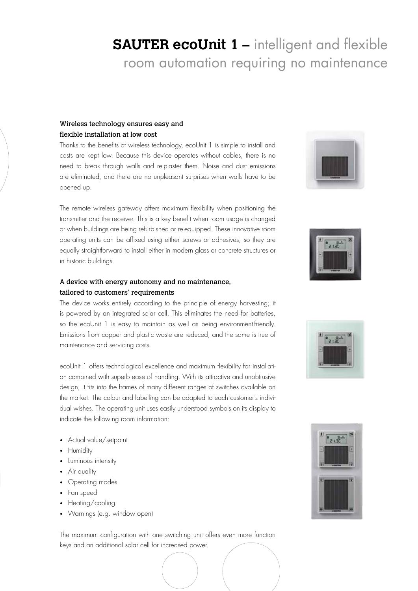## **SAUTER ecoUnit 1 –** intelligent and flexible room automation requiring no maintenance

#### Wireless technology ensures easy and flexible installation at low cost

Thanks to the benefits of wireless technology, ecoUnit 1 is simple to install and costs are kept low. Because this device operates without cables, there is no need to break through walls and re-plaster them. Noise and dust emissions are eliminated, and there are no unpleasant surprises when walls have to be opened up.

The remote wireless gateway offers maximum flexibility when positioning the transmitter and the receiver. This is a key benefit when room usage is changed or when buildings are being refurbished or re-equipped. These innovative room operating units can be affixed using either screws or adhesives, so they are equally straightforward to install either in modern glass or concrete structures or in historic buildings.

#### A device with energy autonomy and no maintenance, tailored to customers' requirements

The device works entirely according to the principle of energy harvesting; it is powered by an integrated solar cell. This eliminates the need for batteries, so the ecoUnit 1 is easy to maintain as well as being environment-friendly. Emissions from copper and plastic waste are reduced, and the same is true of maintenance and servicing costs.

ecoUnit 1 offers technological excellence and maximum flexibility for installation combined with superb ease of handling. With its attractive and unobtrusive design, it fits into the frames of many different ranges of switches available on the market. The colour and labelling can be adapted to each customer's individual wishes. The operating unit uses easily understood symbols on its display to indicate the following room information:

- Actual value/setpoint
- Humidity
- Luminous intensity
- Air quality
- Operating modes
- Fan speed
- Heating/cooling
- Warnings (e.g. window open)

The maximum configuration with one switching unit offers even more function keys and an additional solar cell for increased power.